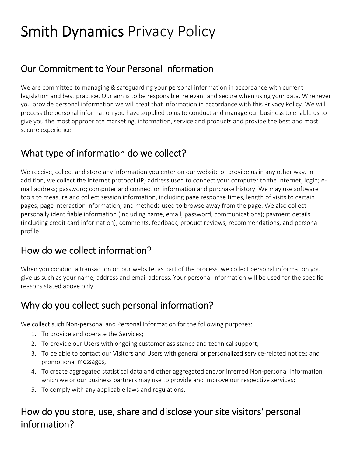# Smith Dynamics Privacy Policy

## Our Commitment to Your Personal Information

We are committed to managing & safeguarding your personal information in accordance with current legislation and best practice. Our aim is to be responsible, relevant and secure when using your data. Whenever you provide personal information we will treat that information in accordance with this Privacy Policy. We will process the personal information you have supplied to us to conduct and manage our business to enable us to give you the most appropriate marketing, information, service and products and provide the best and most secure experience.

#### What type of information do we collect?

We receive, collect and store any information you enter on our website or provide us in any other way. In addition, we collect the Internet protocol (IP) address used to connect your computer to the Internet; login; email address; password; computer and connection information and purchase history. We may use software tools to measure and collect session information, including page response times, length of visits to certain pages, page interaction information, and methods used to browse away from the page. We also collect personally identifiable information (including name, email, password, communications); payment details (including credit card information), comments, feedback, product reviews, recommendations, and personal profile.

## How do we collect information?

When you conduct a transaction on our website, as part of the process, we collect personal information you give us such as your name, address and email address. Your personal information will be used for the specific reasons stated above only.

## Why do you collect such personal information?

We collect such Non-personal and Personal Information for the following purposes:

- 1. To provide and operate the Services;
- 2. To provide our Users with ongoing customer assistance and technical support;
- 3. To be able to contact our Visitors and Users with general or personalized service‐related notices and promotional messages;
- 4. To create aggregated statistical data and other aggregated and/or inferred Non‐personal Information, which we or our business partners may use to provide and improve our respective services;
- 5. To comply with any applicable laws and regulations.

## How do you store, use, share and disclose your site visitors' personal information?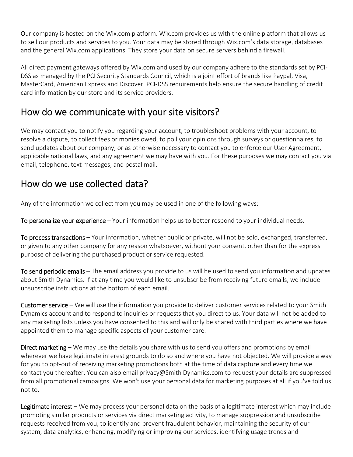Our company is hosted on the Wix.com platform. Wix.com provides us with the online platform that allows us to sell our products and services to you. Your data may be stored through Wix.com's data storage, databases and the general Wix.com applications. They store your data on secure servers behind a firewall.

All direct payment gateways offered by Wix.com and used by our company adhere to the standards set by PCI‐ DSS as managed by the PCI Security Standards Council, which is a joint effort of brands like Paypal, Visa, MasterCard, American Express and Discover. PCI‐DSS requirements help ensure the secure handling of credit card information by our store and its service providers.

#### How do we communicate with your site visitors?

We may contact you to notify you regarding your account, to troubleshoot problems with your account, to resolve a dispute, to collect fees or monies owed, to poll your opinions through surveys or questionnaires, to send updates about our company, or as otherwise necessary to contact you to enforce our User Agreement, applicable national laws, and any agreement we may have with you. For these purposes we may contact you via email, telephone, text messages, and postal mail.

#### How do we use collected data?

Any of the information we collect from you may be used in one of the following ways:

To personalize your experience – Your information helps us to better respond to your individual needs.

To process transactions – Your information, whether public or private, will not be sold, exchanged, transferred, or given to any other company for any reason whatsoever, without your consent, other than for the express purpose of delivering the purchased product or service requested.

To send periodic emails – The email address you provide to us will be used to send you information and updates about Smith Dynamics. If at any time you would like to unsubscribe from receiving future emails, we include unsubscribe instructions at the bottom of each email.

Customer service – We will use the information you provide to deliver customer services related to your Smith Dynamics account and to respond to inquiries or requests that you direct to us. Your data will not be added to any marketing lists unless you have consented to this and will only be shared with third parties where we have appointed them to manage specific aspects of your customer care.

Direct marketing – We may use the details you share with us to send you offers and promotions by email wherever we have legitimate interest grounds to do so and where you have not objected. We will provide a way for you to opt‐out of receiving marketing promotions both at the time of data capture and every time we contact you thereafter. You can also email privacy@Smith Dynamics.com to request your details are suppressed from all promotional campaigns. We won't use your personal data for marketing purposes at all if you've told us not to.

Legitimate interest – We may process your personal data on the basis of a legitimate interest which may include promoting similar products or services via direct marketing activity, to manage suppression and unsubscribe requests received from you, to identify and prevent fraudulent behavior, maintaining the security of our system, data analytics, enhancing, modifying or improving our services, identifying usage trends and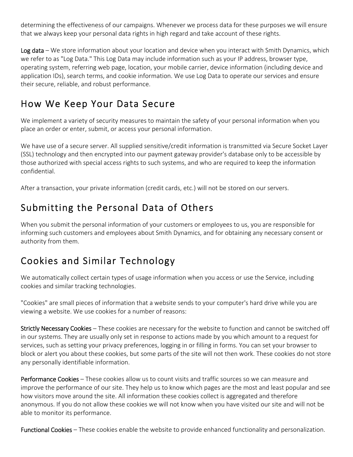determining the effectiveness of our campaigns. Whenever we process data for these purposes we will ensure that we always keep your personal data rights in high regard and take account of these rights.

Log data – We store information about your location and device when you interact with Smith Dynamics, which we refer to as "Log Data." This Log Data may include information such as your IP address, browser type, operating system, referring web page, location, your mobile carrier, device information (including device and application IDs), search terms, and cookie information. We use Log Data to operate our services and ensure their secure, reliable, and robust performance.

# How We Keep Your Data Secure

We implement a variety of security measures to maintain the safety of your personal information when you place an order or enter, submit, or access your personal information.

We have use of a secure server. All supplied sensitive/credit information is transmitted via Secure Socket Layer (SSL) technology and then encrypted into our payment gateway provider's database only to be accessible by those authorized with special access rights to such systems, and who are required to keep the information confidential.

After a transaction, your private information (credit cards, etc.) will not be stored on our servers.

# Submitting the Personal Data of Others

When you submit the personal information of your customers or employees to us, you are responsible for informing such customers and employees about Smith Dynamics, and for obtaining any necessary consent or authority from them.

# Cookies and Similar Technology

We automatically collect certain types of usage information when you access or use the Service, including cookies and similar tracking technologies.

"Cookies" are small pieces of information that a website sends to your computer's hard drive while you are viewing a website. We use cookies for a number of reasons:

Strictly Necessary Cookies – These cookies are necessary for the website to function and cannot be switched off in our systems. They are usually only set in response to actions made by you which amount to a request for services, such as setting your privacy preferences, logging in or filling in forms. You can set your browser to block or alert you about these cookies, but some parts of the site will not then work. These cookies do not store any personally identifiable information.

Performance Cookies - These cookies allow us to count visits and traffic sources so we can measure and improve the performance of our site. They help us to know which pages are the most and least popular and see how visitors move around the site. All information these cookies collect is aggregated and therefore anonymous. If you do not allow these cookies we will not know when you have visited our site and will not be able to monitor its performance.

Functional Cookies – These cookies enable the website to provide enhanced functionality and personalization.